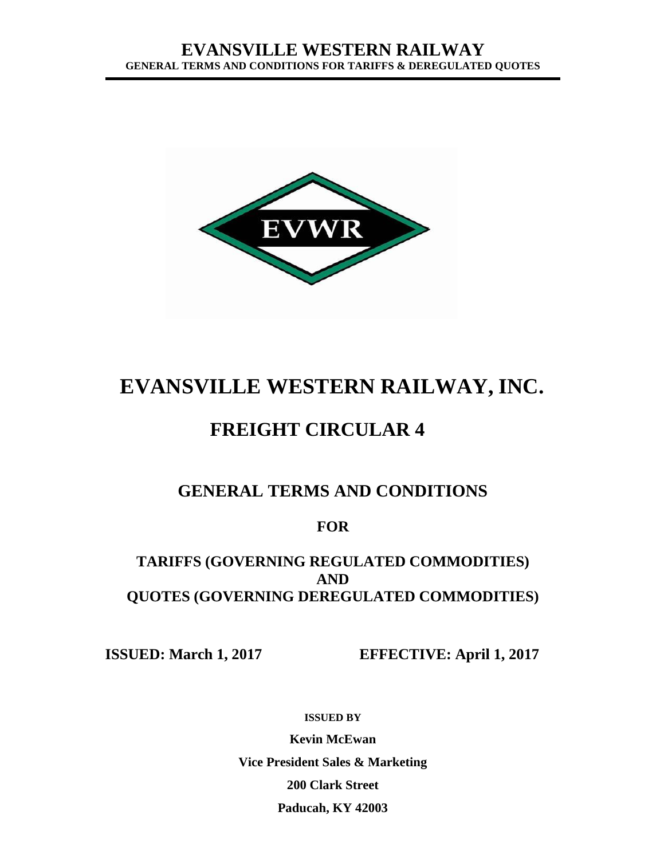

# **EVANSVILLE WESTERN RAILWAY, INC.**

## **FREIGHT CIRCULAR 4**

## **GENERAL TERMS AND CONDITIONS**

## **FOR**

## **TARIFFS (GOVERNING REGULATED COMMODITIES) AND QUOTES (GOVERNING DEREGULATED COMMODITIES)**

**ISSUED: March 1, 2017 EFFECTIVE: April 1, 2017**

**ISSUED BY**

**Kevin McEwan Vice President Sales & Marketing 200 Clark Street Paducah, KY 42003**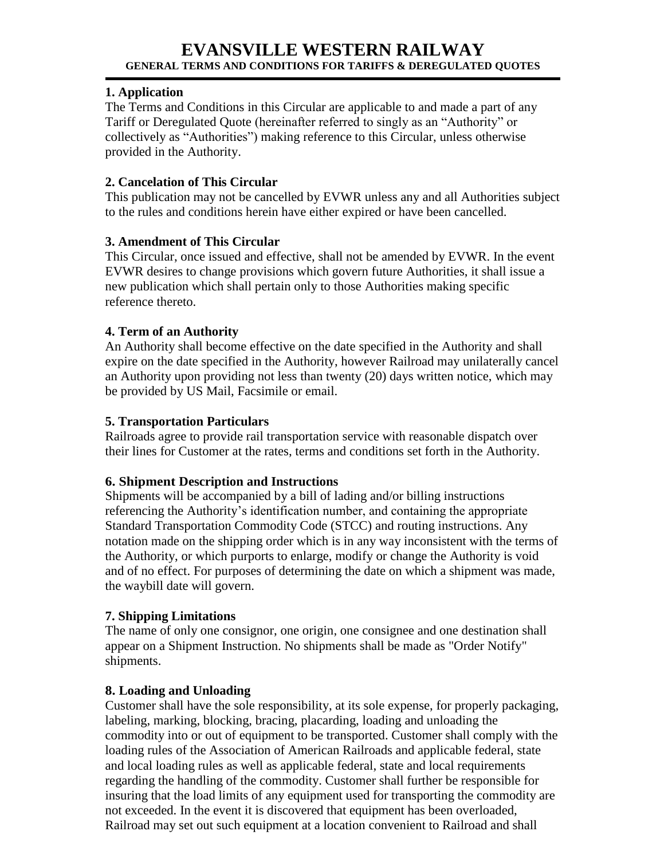#### **1. Application**

The Terms and Conditions in this Circular are applicable to and made a part of any Tariff or Deregulated Quote (hereinafter referred to singly as an "Authority" or collectively as "Authorities") making reference to this Circular, unless otherwise provided in the Authority.

#### **2. Cancelation of This Circular**

This publication may not be cancelled by EVWR unless any and all Authorities subject to the rules and conditions herein have either expired or have been cancelled.

#### **3. Amendment of This Circular**

This Circular, once issued and effective, shall not be amended by EVWR. In the event EVWR desires to change provisions which govern future Authorities, it shall issue a new publication which shall pertain only to those Authorities making specific reference thereto.

#### **4. Term of an Authority**

An Authority shall become effective on the date specified in the Authority and shall expire on the date specified in the Authority, however Railroad may unilaterally cancel an Authority upon providing not less than twenty (20) days written notice, which may be provided by US Mail, Facsimile or email.

#### **5. Transportation Particulars**

Railroads agree to provide rail transportation service with reasonable dispatch over their lines for Customer at the rates, terms and conditions set forth in the Authority.

#### **6. Shipment Description and Instructions**

Shipments will be accompanied by a bill of lading and/or billing instructions referencing the Authority's identification number, and containing the appropriate Standard Transportation Commodity Code (STCC) and routing instructions. Any notation made on the shipping order which is in any way inconsistent with the terms of the Authority, or which purports to enlarge, modify or change the Authority is void and of no effect. For purposes of determining the date on which a shipment was made, the waybill date will govern.

#### **7. Shipping Limitations**

The name of only one consignor, one origin, one consignee and one destination shall appear on a Shipment Instruction. No shipments shall be made as "Order Notify" shipments.

#### **8. Loading and Unloading**

Customer shall have the sole responsibility, at its sole expense, for properly packaging, labeling, marking, blocking, bracing, placarding, loading and unloading the commodity into or out of equipment to be transported. Customer shall comply with the loading rules of the Association of American Railroads and applicable federal, state and local loading rules as well as applicable federal, state and local requirements regarding the handling of the commodity. Customer shall further be responsible for insuring that the load limits of any equipment used for transporting the commodity are not exceeded. In the event it is discovered that equipment has been overloaded, Railroad may set out such equipment at a location convenient to Railroad and shall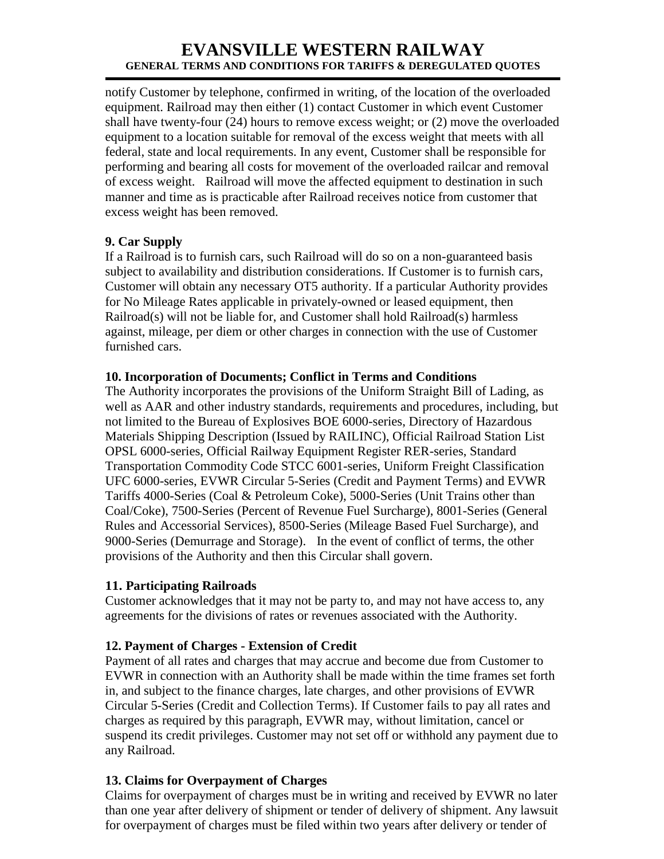notify Customer by telephone, confirmed in writing, of the location of the overloaded equipment. Railroad may then either (1) contact Customer in which event Customer shall have twenty-four (24) hours to remove excess weight; or (2) move the overloaded equipment to a location suitable for removal of the excess weight that meets with all federal, state and local requirements. In any event, Customer shall be responsible for performing and bearing all costs for movement of the overloaded railcar and removal of excess weight. Railroad will move the affected equipment to destination in such manner and time as is practicable after Railroad receives notice from customer that excess weight has been removed.

#### **9. Car Supply**

If a Railroad is to furnish cars, such Railroad will do so on a non-guaranteed basis subject to availability and distribution considerations. If Customer is to furnish cars, Customer will obtain any necessary OT5 authority. If a particular Authority provides for No Mileage Rates applicable in privately-owned or leased equipment, then  $Railroad(s)$  will not be liable for, and Customer shall hold  $Railroad(s)$  harmless against, mileage, per diem or other charges in connection with the use of Customer furnished cars.

#### **10. Incorporation of Documents; Conflict in Terms and Conditions**

The Authority incorporates the provisions of the Uniform Straight Bill of Lading, as well as AAR and other industry standards, requirements and procedures, including, but not limited to the Bureau of Explosives BOE 6000-series, Directory of Hazardous Materials Shipping Description (Issued by RAILINC), Official Railroad Station List OPSL 6000-series, Official Railway Equipment Register RER-series, Standard Transportation Commodity Code STCC 6001-series, Uniform Freight Classification UFC 6000-series, EVWR Circular 5-Series (Credit and Payment Terms) and EVWR Tariffs 4000-Series (Coal & Petroleum Coke), 5000-Series (Unit Trains other than Coal/Coke), 7500-Series (Percent of Revenue Fuel Surcharge), 8001-Series (General Rules and Accessorial Services), 8500-Series (Mileage Based Fuel Surcharge), and 9000-Series (Demurrage and Storage). In the event of conflict of terms, the other provisions of the Authority and then this Circular shall govern.

#### **11. Participating Railroads**

Customer acknowledges that it may not be party to, and may not have access to, any agreements for the divisions of rates or revenues associated with the Authority.

#### **12. Payment of Charges - Extension of Credit**

Payment of all rates and charges that may accrue and become due from Customer to EVWR in connection with an Authority shall be made within the time frames set forth in, and subject to the finance charges, late charges, and other provisions of EVWR Circular 5-Series (Credit and Collection Terms). If Customer fails to pay all rates and charges as required by this paragraph, EVWR may, without limitation, cancel or suspend its credit privileges. Customer may not set off or withhold any payment due to any Railroad.

#### **13. Claims for Overpayment of Charges**

Claims for overpayment of charges must be in writing and received by EVWR no later than one year after delivery of shipment or tender of delivery of shipment. Any lawsuit for overpayment of charges must be filed within two years after delivery or tender of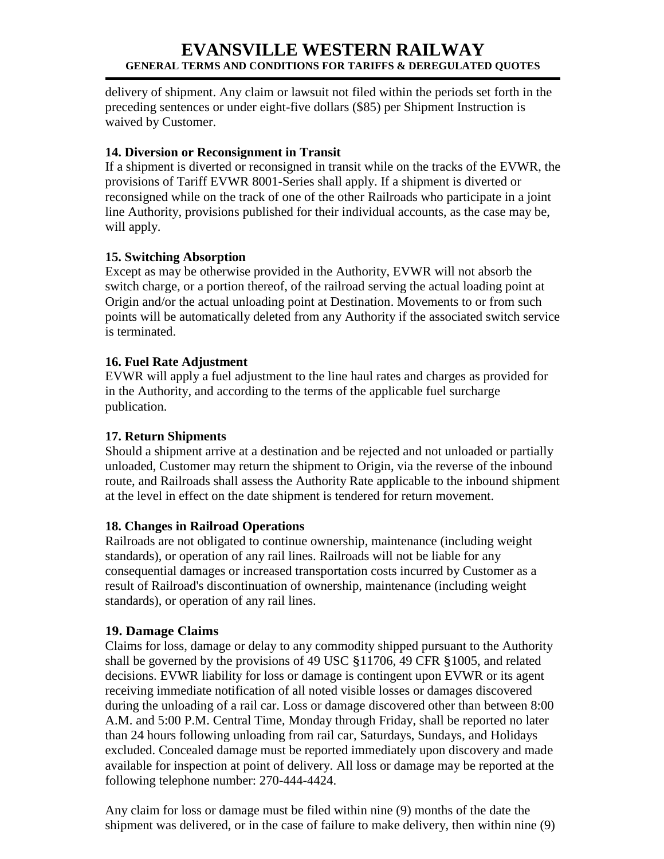delivery of shipment. Any claim or lawsuit not filed within the periods set forth in the preceding sentences or under eight-five dollars (\$85) per Shipment Instruction is waived by Customer.

#### **14. Diversion or Reconsignment in Transit**

If a shipment is diverted or reconsigned in transit while on the tracks of the EVWR, the provisions of Tariff EVWR 8001-Series shall apply. If a shipment is diverted or reconsigned while on the track of one of the other Railroads who participate in a joint line Authority, provisions published for their individual accounts, as the case may be, will apply.

#### **15. Switching Absorption**

Except as may be otherwise provided in the Authority, EVWR will not absorb the switch charge, or a portion thereof, of the railroad serving the actual loading point at Origin and/or the actual unloading point at Destination. Movements to or from such points will be automatically deleted from any Authority if the associated switch service is terminated.

#### **16. Fuel Rate Adjustment**

EVWR will apply a fuel adjustment to the line haul rates and charges as provided for in the Authority, and according to the terms of the applicable fuel surcharge publication.

#### **17. Return Shipments**

Should a shipment arrive at a destination and be rejected and not unloaded or partially unloaded, Customer may return the shipment to Origin, via the reverse of the inbound route, and Railroads shall assess the Authority Rate applicable to the inbound shipment at the level in effect on the date shipment is tendered for return movement.

#### **18. Changes in Railroad Operations**

Railroads are not obligated to continue ownership, maintenance (including weight standards), or operation of any rail lines. Railroads will not be liable for any consequential damages or increased transportation costs incurred by Customer as a result of Railroad's discontinuation of ownership, maintenance (including weight standards), or operation of any rail lines.

#### **19. Damage Claims**

Claims for loss, damage or delay to any commodity shipped pursuant to the Authority shall be governed by the provisions of 49 USC §11706, 49 CFR §1005, and related decisions. EVWR liability for loss or damage is contingent upon EVWR or its agent receiving immediate notification of all noted visible losses or damages discovered during the unloading of a rail car. Loss or damage discovered other than between 8:00 A.M. and 5:00 P.M. Central Time, Monday through Friday, shall be reported no later than 24 hours following unloading from rail car, Saturdays, Sundays, and Holidays excluded. Concealed damage must be reported immediately upon discovery and made available for inspection at point of delivery. All loss or damage may be reported at the following telephone number: 270-444-4424.

Any claim for loss or damage must be filed within nine (9) months of the date the shipment was delivered, or in the case of failure to make delivery, then within nine (9)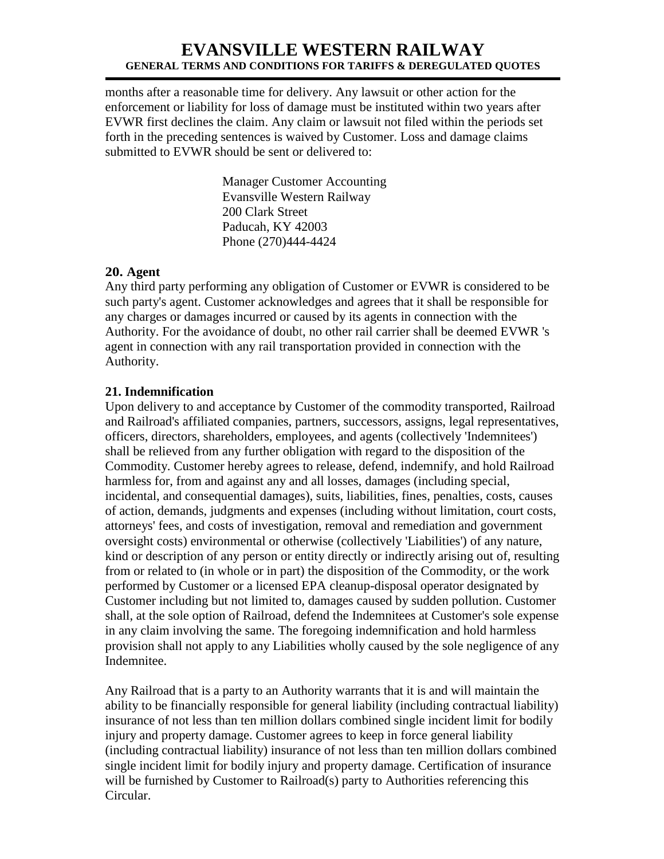months after a reasonable time for delivery. Any lawsuit or other action for the enforcement or liability for loss of damage must be instituted within two years after EVWR first declines the claim. Any claim or lawsuit not filed within the periods set forth in the preceding sentences is waived by Customer. Loss and damage claims submitted to EVWR should be sent or delivered to:

> Manager Customer Accounting Evansville Western Railway 200 Clark Street Paducah, KY 42003 Phone (270)444-4424

#### **20. Agent**

Any third party performing any obligation of Customer or EVWR is considered to be such party's agent. Customer acknowledges and agrees that it shall be responsible for any charges or damages incurred or caused by its agents in connection with the Authority. For the avoidance of doubt, no other rail carrier shall be deemed EVWR 's agent in connection with any rail transportation provided in connection with the Authority.

#### **21. Indemnification**

Upon delivery to and acceptance by Customer of the commodity transported, Railroad and Railroad's affiliated companies, partners, successors, assigns, legal representatives, officers, directors, shareholders, employees, and agents (collectively 'Indemnitees') shall be relieved from any further obligation with regard to the disposition of the Commodity. Customer hereby agrees to release, defend, indemnify, and hold Railroad harmless for, from and against any and all losses, damages (including special, incidental, and consequential damages), suits, liabilities, fines, penalties, costs, causes of action, demands, judgments and expenses (including without limitation, court costs, attorneys' fees, and costs of investigation, removal and remediation and government oversight costs) environmental or otherwise (collectively 'Liabilities') of any nature, kind or description of any person or entity directly or indirectly arising out of, resulting from or related to (in whole or in part) the disposition of the Commodity, or the work performed by Customer or a licensed EPA cleanup-disposal operator designated by Customer including but not limited to, damages caused by sudden pollution. Customer shall, at the sole option of Railroad, defend the Indemnitees at Customer's sole expense in any claim involving the same. The foregoing indemnification and hold harmless provision shall not apply to any Liabilities wholly caused by the sole negligence of any Indemnitee.

Any Railroad that is a party to an Authority warrants that it is and will maintain the ability to be financially responsible for general liability (including contractual liability) insurance of not less than ten million dollars combined single incident limit for bodily injury and property damage. Customer agrees to keep in force general liability (including contractual liability) insurance of not less than ten million dollars combined single incident limit for bodily injury and property damage. Certification of insurance will be furnished by Customer to Railroad(s) party to Authorities referencing this Circular.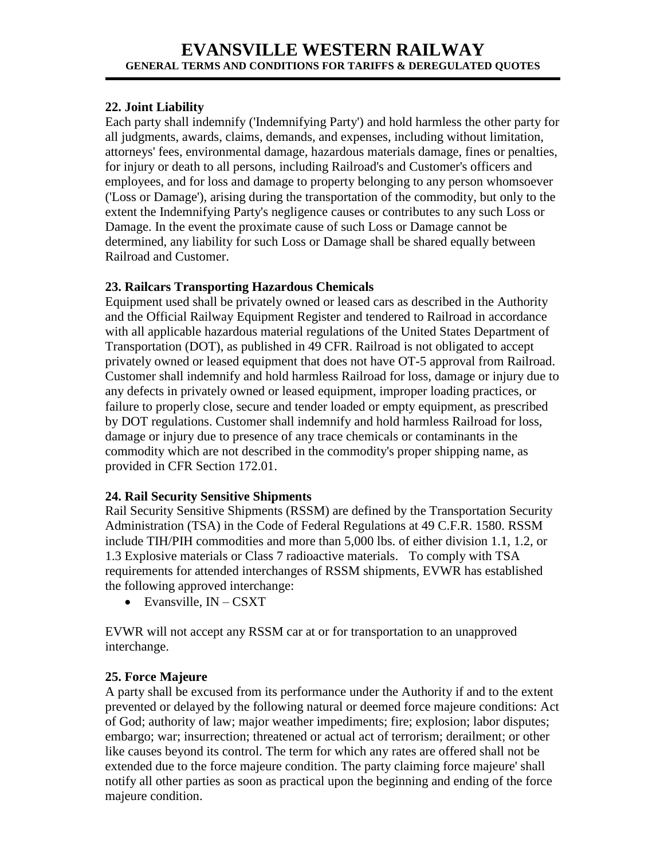#### **22. Joint Liability**

Each party shall indemnify ('Indemnifying Party') and hold harmless the other party for all judgments, awards, claims, demands, and expenses, including without limitation, attorneys' fees, environmental damage, hazardous materials damage, fines or penalties, for injury or death to all persons, including Railroad's and Customer's officers and employees, and for loss and damage to property belonging to any person whomsoever ('Loss or Damage'), arising during the transportation of the commodity, but only to the extent the Indemnifying Party's negligence causes or contributes to any such Loss or Damage. In the event the proximate cause of such Loss or Damage cannot be determined, any liability for such Loss or Damage shall be shared equally between Railroad and Customer.

#### **23. Railcars Transporting Hazardous Chemicals**

Equipment used shall be privately owned or leased cars as described in the Authority and the Official Railway Equipment Register and tendered to Railroad in accordance with all applicable hazardous material regulations of the United States Department of Transportation (DOT), as published in 49 CFR. Railroad is not obligated to accept privately owned or leased equipment that does not have OT-5 approval from Railroad. Customer shall indemnify and hold harmless Railroad for loss, damage or injury due to any defects in privately owned or leased equipment, improper loading practices, or failure to properly close, secure and tender loaded or empty equipment, as prescribed by DOT regulations. Customer shall indemnify and hold harmless Railroad for loss, damage or injury due to presence of any trace chemicals or contaminants in the commodity which are not described in the commodity's proper shipping name, as provided in CFR Section 172.01.

#### **24. Rail Security Sensitive Shipments**

Rail Security Sensitive Shipments (RSSM) are defined by the Transportation Security Administration (TSA) in the Code of Federal Regulations at 49 C.F.R. 1580. RSSM include TIH/PIH commodities and more than 5,000 lbs. of either division 1.1, 1.2, or 1.3 Explosive materials or Class 7 radioactive materials. To comply with TSA requirements for attended interchanges of RSSM shipments, EVWR has established the following approved interchange:

 $\bullet$  Evansville, IN – CSXT

EVWR will not accept any RSSM car at or for transportation to an unapproved interchange.

#### **25. Force Majeure**

A party shall be excused from its performance under the Authority if and to the extent prevented or delayed by the following natural or deemed force majeure conditions: Act of God; authority of law; major weather impediments; fire; explosion; labor disputes; embargo; war; insurrection; threatened or actual act of terrorism; derailment; or other like causes beyond its control. The term for which any rates are offered shall not be extended due to the force majeure condition. The party claiming force majeure' shall notify all other parties as soon as practical upon the beginning and ending of the force majeure condition.